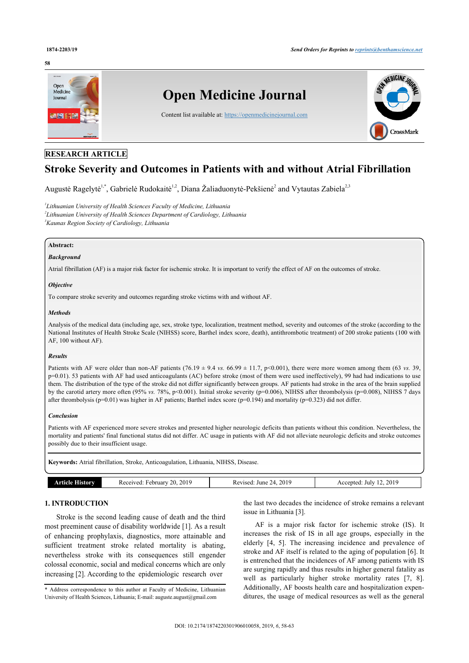#### **58**



# **RESEARCH ARTICLE**

# **Stroke Severity and Outcomes in Patients with and without Atrial Fibrillation**

Augustė Ragelytė<sup>!,\*</sup>, Gabrielė Rudokaitė<sup>[1](#page-0-0),[2](#page-0-2)</sup>, Diana Žaliaduonytė-Pekšienė<sup>2</sup> and Vytautas Zabiela<sup>2[,3](#page-0-3)</sup>

<span id="page-0-3"></span><span id="page-0-2"></span><span id="page-0-0"></span>*1 Lithuanian University of Health Sciences Faculty of Medicine, Lithuania 2 Lithuanian University of Health Sciences Department of Cardiology, Lithuania <sup>3</sup>Kaunas Region Society of Cardiology, Lithuania*

# **Abstract:**

#### *Background*

Atrial fibrillation (AF) is a major risk factor for ischemic stroke. It is important to verify the effect of AF on the outcomes of stroke.

#### *Objective*

To compare stroke severity and outcomes regarding stroke victims with and without AF.

#### *Methods*

Analysis of the medical data (including age, sex, stroke type, localization, treatment method, severity and outcomes of the stroke (according to the National Institutes of Health Stroke Scale (NIHSS) score, Barthel index score, death), antithrombotic treatment) of 200 stroke patients (100 with AF, 100 without AF).

#### *Results*

Patients with AF were older than non-AF patients  $(76.19 \pm 9.4 \text{ vs. } 66.99 \pm 11.7, \text{ p} < 0.001)$ , there were more women among them (63 *vs.* 39, p=0.01). 53 patients with AF had used anticoagulants (AC) before stroke (most of them were used ineffectively), 99 had had indications to use them. The distribution of the type of the stroke did not differ significantly between groups. AF patients had stroke in the area of the brain supplied by the carotid artery more often (95% *vs.* 78%, p<0.001). Initial stroke severity (p=0.006), NIHSS after thrombolysis (p=0.008), NIHSS 7 days after thrombolysis (p=0.01) was higher in AF patients; Barthel index score (p=0.194) and mortality (p=0.323) did not differ.

#### *Conclusion*

Patients with AF experienced more severe strokes and presented higher neurologic deficits than patients without this condition. Nevertheless, the mortality and patients' final functional status did not differ. AC usage in patients with AF did not alleviate neurologic deficits and stroke outcomes possibly due to their insufficient usage.

| Keywords: Atrial fibrillation, Stroke, Anticoagulation, Lithuania, NIHSS, Disease. |                             |                          |                         |  |  |
|------------------------------------------------------------------------------------|-----------------------------|--------------------------|-------------------------|--|--|
| <b>Article History</b>                                                             | Received: February 20, 2019 | Revised: June 24, $2019$ | Accepted: July 12, 2019 |  |  |

# **1. INTRODUCTION**

Stroke is the second leading cause of death and the third most preeminent cause of disability worldwide [\[1](#page-4-0)]. As a result of enhancing prophylaxis, diagnostics, more attainable and sufficient treatment stroke related mortality is abating, nevertheless stroke with its consequences still engender colossal economic, social and medical concerns which are only increasing [[2](#page-4-1)]. According to the epidemiologic research over

the last two decades the incidence of stroke remains a relevant issue in Lithuania [\[3\]](#page-4-2).

AF is a major risk factor for ischemic stroke (IS). It increases the risk of IS in all age groups, especially in the elderly [\[4,](#page-4-3) [5](#page-4-4)]. The increasing incidence and prevalence of stroke and AF itself is related to the aging of population [[6](#page-4-5)]. It is entrenched that the incidences of AF among patients with IS are surging rapidly and thus results in higher general fatality as wellas particularly higher stroke mortality rates [[7,](#page-4-6) [8](#page-4-7)]. Additionally, AF boosts health care and hospitalization expenditures, the usage of medical resources as well as the general

<span id="page-0-1"></span><sup>\*</sup> Address correspondence to this author at Faculty of Medicine, Lithuanian University of Health Sciences, Lithuania; E-mail: [auguste.august@gmail.com](mailto:auguste.august@gmail.com)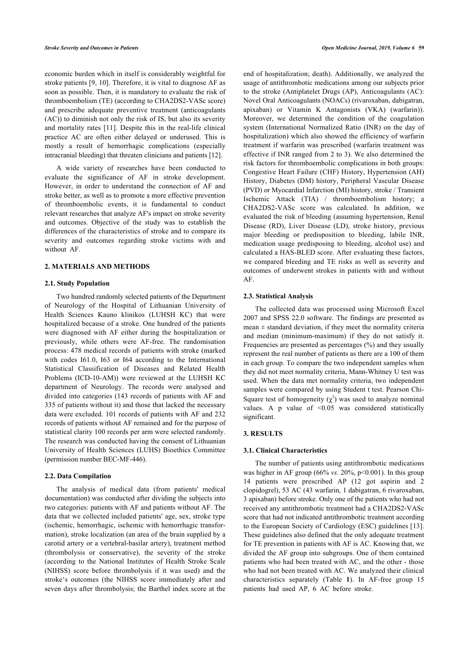economic burden which in itself is considerably weightful for stroke patients [\[9,](#page-4-8) [10\]](#page-4-9). Therefore, it is vital to diagnose AF as soon as possible. Then, it is mandatory to evaluate the risk of thromboembolism (TE) (according to CHA2DS2-VASc score) and prescribe adequate preventive treatment (anticoagulants (AC)) to diminish not only the risk of IS, but also its severity and mortality rates [[11\]](#page-4-10). Despite this in the real-life clinical practice AC are often either delayed or underused. This is mostly a result of hemorrhagic complications (especially intracranial bleeding) that threaten clinicians and patients [\[12](#page-4-11)].

A wide variety of researches have been conducted to evaluate the significance of AF in stroke development. However, in order to understand the connection of AF and stroke better, as well as to promote a more effective prevention of thromboembolic events, it is fundamental to conduct relevant researches that analyze AF's impact on stroke severity and outcomes. Objective of the study was to establish the differences of the characteristics of stroke and to compare its severity and outcomes regarding stroke victims with and without AF.

# **2. MATERIALS AND METHODS**

#### **2.1. Study Population**

Two hundred randomly selected patients of the Department of Neurology of the Hospital of Lithuanian University of Health Sciences Kauno klinikos (LUHSH KC) that were hospitalized because of a stroke. One hundred of the patients were diagnosed with AF either during the hospitalization or previously, while others were AF-free. The randomisation process: 478 medical records of patients with stroke (marked with codes I61.0, I63 or I64 according to the International Statistical Classification of Diseases and Related Health Problems (ICD-10-AM)) were reviewed at the LUHSH KC department of Neurology. The records were analysed and divided into categories (143 records of patients with AF and 335 of patients without it) and those that lacked the necessary data were excluded. 101 records of patients with AF and 232 records of patients without AF remained and for the purpose of statistical clarity 100 records per arm were selected randomly. The research was conducted having the consent of Lithuanian University of Health Sciences (LUHS) Bioethics Committee (permission number BEC-MF-446).

#### **2.2. Data Compilation**

<span id="page-1-0"></span>The analysis of medical data (from patients' medical documentation) was conducted after dividing the subjects into two categories: patients with AF and patients without AF. The data that we collected included patients' age, sex, stroke type (ischemic, hemorrhagic, ischemic with hemorrhagic transformation), stroke localization (an area of the brain supplied by a carotid artery or a vertebral-basilar artery), treatment method (thrombolysis or conservative), the severity of the stroke (according to the National Institutes of Health Stroke Scale (NIHSS) score before thrombolysis if it was used) and the stroke's outcomes (the NIHSS score immediately after and seven days after thrombolysis; the Barthel index score at the

end of hospitalization; death). Additionally, we analyzed the usage of antithrombotic medications among our subjects prior to the stroke (Antiplatelet Drugs (AP), Anticoagulants (AC): Novel Oral Anticoagulants (NOACs) (rivaroxaban, dabigatran, apixaban) or Vitamin K Antagonists (VKA) (warfarin)). Moreover, we determined the condition of the coagulation system (International Normalized Ratio (INR) on the day of hospitalization) which also showed the efficiency of warfarin treatment if warfarin was prescribed (warfarin treatment was effective if INR ranged from 2 to 3). We also determined the risk factors for thromboembolic complications in both groups: Congestive Heart Failure (CHF) History, Hypertension (AH) History, Diabetes (DM) history, Peripheral Vascular Disease (PVD) or Myocardial Infarction (MI) history, stroke / Transient Ischemic Attack (TIA) / thromboembolism history; a CHA2DS2-VASc score was calculated. In addition, we evaluated the risk of bleeding (assuming hypertension, Renal Disease (RD), Liver Disease (LD), stroke history, previous major bleeding or predisposition to bleeding, labile INR, medication usage predisposing to bleeding, alcohol use) and calculated a HAS-BLED score. After evaluating these factors, we compared bleeding and TE risks as well as severity and outcomes of underwent strokes in patients with and without AF.

#### **2.3. Statistical Analysis**

The collected data was processed using Microsoft Excel 2007 and SPSS 22.0 software. The findings are presented as mean  $\pm$  standard deviation, if they meet the normality criteria and median (minimum-maximum) if they do not satisfy it. Frequencies are presented as percentages (%) and they usually represent the real number of patients as there are a 100 of them in each group. To compare the two independent samples when they did not meet normality criteria, Mann-Whitney U test was used. When the data met normality criteria, two independent samples were compared by using Student t test. Pearson Chi-Square test of homogeneity  $(\chi^2)$  was used to analyze nominal values. A p value of <0.05 was considered statistically significant.

## **3. RESULTS**

#### **3.1. Clinical Characteristics**

The number of patients using antithrombotic medications was higher in AF group (66% *vs.* 20%, p<0.001). In this group 14 patients were prescribed AP (12 got aspirin and 2 clopidogrel), 53 AC (43 warfarin, 1 dabigatran, 6 rivaroxaban, 3 apixaban) before stroke. Only one of the patients who had not received any antithrombotic treatment had a CHA2DS2-VASc score that had not indicated antithrombotic treatment according to the European Society of Cardiology (ESC) guidelines [[13](#page-4-12)]. These guidelines also defined that the only adequate treatment for TE prevention in patients with AF is AC. Knowing that, we divided the AF group into subgroups. One of them contained patients who had been treated with AC, and the other - those who had not been treated with AC. We analyzed their clinical characteristics separately (Table**1**). In AF-free group 15 patients had used AP, 6 AC before stroke.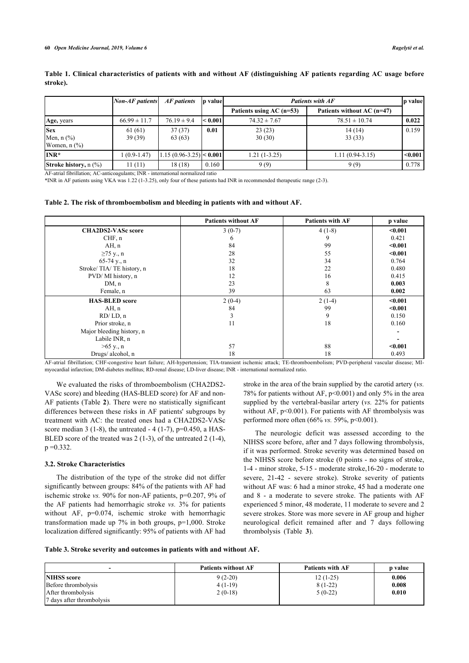|                                                                                            | <b>Non-AF</b> patients | AF patients                    | p value | <b>Patients with AF</b>    |                            | p value |
|--------------------------------------------------------------------------------------------|------------------------|--------------------------------|---------|----------------------------|----------------------------|---------|
|                                                                                            |                        |                                |         | Patients using $AC$ (n=53) | Patients without AC (n=47) |         |
| Age, years                                                                                 | $66.99 \pm 11.7$       | $76.19 \pm 9.4$                | < 0.001 | $74.32 \pm 7.67$           | $78.51 \pm 10.74$          | 0.022   |
| <b>Sex</b><br>Men, $n$ $\left(\frac{9}{6}\right)$<br>Women, $n$ $\left(\frac{9}{6}\right)$ | 61(61)<br>39(39)       | 37(37)<br>63(63)               | 0.01    | 23(23)<br>30(30)           | 14(14)<br>33(33)           | 0.159   |
| $INR*$                                                                                     | $1(0.9-1.47)$          | $ 1.15(0.96 - 3.25)  < 0.001 $ |         | $1.21(1-3.25)$             | $1.11(0.94 - 3.15)$        | < 0.001 |
| <b>Stroke history, n</b> $(\%)$                                                            | 11(11)                 | 18(18)                         | 0.160   | 9(9)                       | 9(9)                       | 0.778   |

**Table 1. Clinical characteristics of patients with and without AF (distinguishing AF patients regarding AC usage before stroke).**

AF-atrial fibrillation; AC-anticoagulants; INR - international normalized ratio

\*INR in AF patients using VKA was 1.22 (1-3.25), only four of these patients had INR in recommended therapeutic range (2-3).

<span id="page-2-0"></span>**Table 2. The risk of thromboembolism and bleeding in patients with and without AF.**

|                           | <b>Patients without AF</b> | <b>Patients with AF</b> | p value |
|---------------------------|----------------------------|-------------------------|---------|
| <b>CHA2DS2-VASc score</b> | $3(0-7)$                   | $4(1-8)$                | < 0.001 |
| CHF, n                    | 6                          | 9                       | 0.421   |
| AH, n                     | 84                         | 99                      | $0.001$ |
| $\geq$ 75 y., n           | 28                         | 55                      | $0.001$ |
| $65-74$ y., n             | 32                         | 34                      | 0.764   |
| Stroke/TIA/TE history, n  | 18                         | 22                      | 0.480   |
| PVD/MI history, n         | 12                         | 16                      | 0.415   |
| DM, n                     | 23                         | 8                       | 0.003   |
| Female, n                 | 39                         | 63                      | 0.002   |
| <b>HAS-BLED</b> score     | $2(0-4)$                   | $2(1-4)$                | $0.001$ |
| AH, n                     | 84                         | 99                      | $0.001$ |
| RD/LD, n                  | 3                          | 9                       | 0.150   |
| Prior stroke, n           | 11                         | 18                      | 0.160   |
| Major bleeding history, n |                            |                         |         |
| Labile INR, n             |                            |                         |         |
| $>65$ y., n               | 57                         | 88                      | $0.001$ |
| Drugs/alcohol, n          | 18                         | 18                      | 0.493   |

AF-atrial fibrillation; CHF-congestive heart failure; AH-hypertension; TIA-transient ischemic attack; TE-thromboembolism; PVD-peripheral vascular disease; MImyocardial infarction; DM-diabetes mellitus; RD-renal disease; LD-liver disease; INR - international normalized ratio.

We evaluated the risks of thromboembolism (CHA2DS2- VASc score) and bleeding (HAS-BLED score) for AF and non-AF patients (Table **[2](#page-2-0)**). There were no statistically significant differences between these risks in AF patients' subgroups by treatment with AC: the treated ones had a CHA2DS2-VASc score median 3 (1-8), the untreated - 4 (1-7),  $p=0.450$ , a HAS-BLED score of the treated was 2 (1-3), of the untreated 2 (1-4),  $p = 0.332$ .

#### **3.2. Stroke Characteristics**

The distribution of the type of the stroke did not differ significantly between groups: 84% of the patients with AF had ischemic stroke *vs.* 90% for non-AF patients, p=0.207, 9% of the AF patients had hemorrhagic stroke *vs.* 3% for patients without AF, p=0.074, ischemic stroke with hemorrhagic transformation made up 7% in both groups, p=1,000. Stroke localization differed significantly: 95% of patients with AF had stroke in the area of the brain supplied by the carotid artery (*vs.* 78% for patients without AF,  $p \le 0.001$ ) and only 5% in the area supplied by the vertebral-basilar artery (*vs.* 22% for patients without AF,  $p<0.001$ ). For patients with AF thrombolysis was performed more often (66% *vs.* 59%, p<0.001).

The neurologic deficit was assessed according to the NIHSS score before, after and 7 days following thrombolysis, if it was performed. Stroke severity was determined based on the NIHSS score before stroke (0 points - no signs of stroke, 1-4 - minor stroke, 5-15 - moderate stroke,16-20 - moderate to severe, 21-42 - severe stroke). Stroke severity of patients without AF was: 6 had a minor stroke, 45 had a moderate one and 8 - a moderate to severe stroke. The patients with AF experienced 5 minor, 48 moderate, 11 moderate to severe and 2 severe strokes. Store was more severe in AF group and higher neurological deficit remained after and 7 days following thrombolysis (Table**3**).

<span id="page-2-1"></span>**Table 3. Stroke severity and outcomes in patients with and without AF.**

| -                         | <b>Patients without AF</b> | <b>Patients with AF</b> | <b>p</b> value |
|---------------------------|----------------------------|-------------------------|----------------|
| <b>NIHSS</b> score        | $9(2-20)$                  | $12(1-25)$              | 0.006          |
| Before thrombolysis       | $4(1-19)$                  | $8(1-22)$               | 0.008          |
| After thrombolysis        | $2(0-18)$                  | $5(0-22)$               | 0.010          |
| 7 days after thrombolysis |                            |                         |                |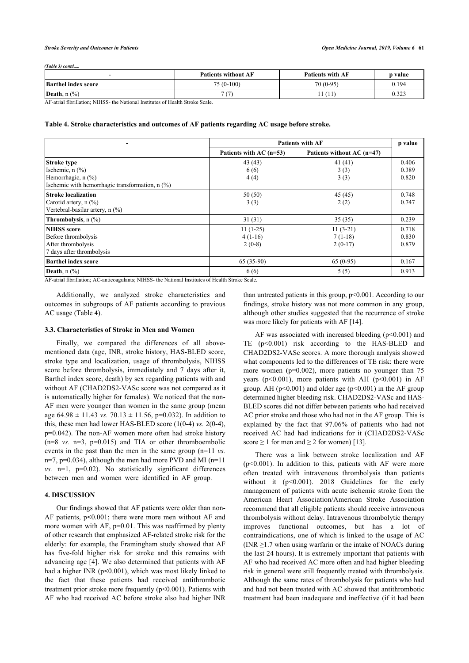*(Table 3) contd.....*

|                                       | <b>Patients without AF</b> | <b>Patients with AF</b> | <b>p</b> value |
|---------------------------------------|----------------------------|-------------------------|----------------|
| <b>Barthel index score</b>            | 75 (0-100)                 | $70(0-95)$              | 0.194          |
| Death, $n$ $\left(\frac{9}{6}\right)$ | 7(7)                       | -11                     | 0.323          |

AF-atrial fibrillation; NIHSS- the National Institutes of Health Stroke Scale.

<span id="page-3-0"></span>

| Table 4. Stroke characteristics and outcomes of AF patients regarding AC usage before stroke. |  |  |
|-----------------------------------------------------------------------------------------------|--|--|
|-----------------------------------------------------------------------------------------------|--|--|

|                                                 | <b>Patients with AF</b>   |                            | p value |
|-------------------------------------------------|---------------------------|----------------------------|---------|
|                                                 | Patients with $AC$ (n=53) | Patients without AC (n=47) |         |
| <b>Stroke type</b>                              | 43(43)                    | 41(41)                     | 0.406   |
| Ischemic, $n$ $(\%)$                            | 6(6)                      | 3(3)                       | 0.389   |
| Hemorrhagic, n (%)                              | 4(4)                      | 3(3)                       | 0.820   |
| Ischemic with hemorrhagic transformation, n (%) |                           |                            |         |
| Stroke localization                             | 50(50)                    | 45(45)                     | 0.748   |
| Carotid artery, $n$ (%)                         | 3(3)                      | 2(2)                       | 0.747   |
| Vertebral-basilar artery, n (%)                 |                           |                            |         |
| Thrombolysis, n (%)                             | 31(31)                    | 35(35)                     | 0.239   |
| <b>NIHSS</b> score                              | $11(1-25)$                | $11(3-21)$                 | 0.718   |
| Before thrombolysis                             | $4(1-16)$                 | $7(1-18)$                  | 0.830   |
| After thrombolysis                              | $2(0-8)$                  | $2(0-17)$                  | 0.879   |
| 7 days after thrombolysis                       |                           |                            |         |
| Barthel index score                             | $65(35-90)$               | $65(0-95)$                 | 0.167   |
| <b>Death</b> , $n$ $\left(\frac{9}{6}\right)$   | 6(6)                      | 5(5)                       | 0.913   |

AF-atrial fibrillation; AC-anticoagulants; NIHSS- the National Institutes of Health Stroke Scale.

Additionally, we analyzed stroke characteristics and outcomes in subgroups of AF patients according to previous AC usage (Table **[4](#page-3-0)**).

#### **3.3. Characteristics of Stroke in Men and Women**

Finally, we compared the differences of all abovementioned data (age, INR, stroke history, HAS-BLED score, stroke type and localization, usage of thrombolysis, NIHSS score before thrombolysis, immediately and 7 days after it, Barthel index score, death) by sex regarding patients with and without AF (CHAD2DS2-VASc score was not compared as it is automatically higher for females). We noticed that the non-AF men were younger than women in the same group (mean age  $64.98 \pm 11.43$  *vs.*  $70.13 \pm 11.56$ ,  $p=0.032$ ). In addition to this, these men had lower HAS-BLED score  $(1(0-4)$  *vs.*  $2(0-4)$ , p=0.042). The non-AF women more often had stroke history  $(n=8 \text{ vs. } n=3, p=0.015)$  and TIA or other thromboembolic events in the past than the men in the same group (n=11 *vs.*  $n=7$ ,  $p=0.034$ ), although the men had more PVD and MI ( $n=11$ ) *vs.* n=1, p=0.02). No statistically significant differences between men and women were identified in AF group.

#### **4. DISCUSSION**

Our findings showed that AF patients were older than non-AF patients, p**<**0.001; there were more men without AF and more women with AF, p=0.01. This was reaffirmed by plenty of other research that emphasized AF-related stroke risk for the elderly: for example, the Framingham study showed that AF has five-fold higher risk for stroke and this remains with advancing age [\[4\]](#page-4-3). We also determined that patients with AF had a higher INR (p**<**0.001), which was most likely linked to the fact that these patients had received antithrombotic treatment prior stroke more frequently (p<0.001). Patients with AF who had received AC before stroke also had higher INR

than untreated patients in this group, p<0.001. According to our findings, stroke history was not more common in any group, although other studies suggested that the recurrence of stroke was more likely for patients with AF [[14\]](#page-5-0).

AF was associated with increased bleeding  $(p<0.001)$  and TE (p<0.001) risk according to the HAS-BLED and CHAD2DS2-VASc scores. A more thorough analysis showed what components led to the differences of TE risk: there were more women (p=0.002), more patients no younger than 75 years (p<0.001), more patients with AH (p<0.001) in AF group. AH ( $p<0.001$ ) and older age ( $p<0.001$ ) in the AF group determined higher bleeding risk. CHAD2DS2-VASc and HAS-BLED scores did not differ between patients who had received AC prior stroke and those who had not in the AF group. This is explained by the fact that 97.06% of patients who had not received AC had had indications for it (CHAD2DS2-VASc score  $\geq 1$  for men and  $\geq 2$  for women) [\[13](#page-4-12)].

There was a link between stroke localization and AF  $(p<0.001)$ . In addition to this, patients with AF were more often treated with intravenous thrombolysis than patients without it (p<0.001). 2018 Guidelines for the early management of patients with acute ischemic stroke from the American Heart Association/American Stroke Association recommend that all eligible patients should receive intravenous thrombolysis without delay. Intravenous thrombolytic therapy improves functional outcomes, but has a lot of contraindications, one of which is linked to the usage of AC (INR  $\geq$ 1.7 when using warfarin or the intake of NOACs during the last 24 hours). It is extremely important that patients with AF who had received AC more often and had higher bleeding risk in general were still frequently treated with thrombolysis. Although the same rates of thrombolysis for patients who had and had not been treated with AC showed that antithrombotic treatment had been inadequate and ineffective (if it had been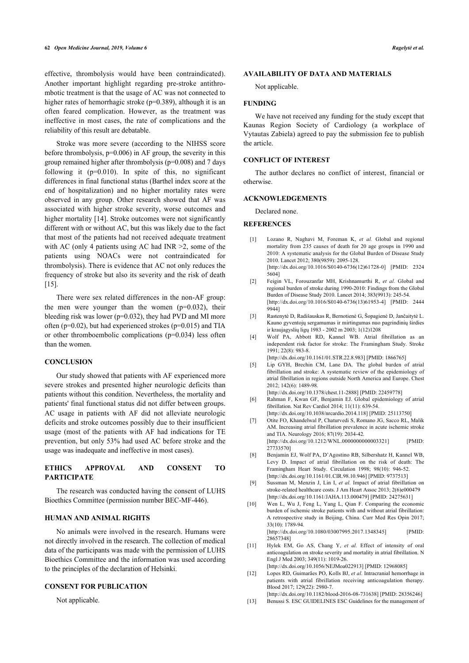effective, thrombolysis would have been contraindicated). Another important highlight regarding pre-stroke antithrombotic treatment is that the usage of AC was not connected to higher rates of hemorrhagic stroke (p=0.389), although it is an often feared complication. However, as the treatment was ineffective in most cases, the rate of complications and the reliability of this result are debatable.

Stroke was more severe (according to the NIHSS score before thrombolysis,  $p=0.006$ ) in AF group, the severity in this group remained higher after thrombolysis (p=0.008) and 7 days following it  $(p=0.010)$ . In spite of this, no significant differences in final functional status (Barthel index score at the end of hospitalization) and no higher mortality rates were observed in any group. Other research showed that AF was associated with higher stroke severity, worse outcomes and higher mortality [[14\]](#page-5-0). Stroke outcomes were not significantly different with or without AC, but this was likely due to the fact that most of the patients had not received adequate treatment with AC (only 4 patients using AC had INR  $\geq$ 2, some of the patients using NOACs were not contraindicated for thrombolysis). There is evidence that AC not only reduces the frequency of stroke but also its severity and the risk of death [[15\]](#page-5-1).

<span id="page-4-2"></span><span id="page-4-1"></span><span id="page-4-0"></span>There were sex related differences in the non-AF group: the men were younger than the women  $(p=0.032)$ , their bleeding risk was lower (p=0.032), they had PVD and MI more often ( $p=0.02$ ), but had experienced strokes ( $p=0.015$ ) and TIA or other thromboembolic complications (p=0.034) less often than the women.

#### <span id="page-4-4"></span><span id="page-4-3"></span>**CONCLUSION**

<span id="page-4-6"></span><span id="page-4-5"></span>Our study showed that patients with AF experienced more severe strokes and presented higher neurologic deficits than patients without this condition. Nevertheless, the mortality and patients' final functional status did not differ between groups. AC usage in patients with AF did not alleviate neurologic deficits and stroke outcomes possibly due to their insufficient usage (most of the patients with AF had indications for TE prevention, but only 53% had used AC before stroke and the usage was inadequate and ineffective in most cases).

# <span id="page-4-7"></span>**ETHICS APPROVAL AND CONSENT TO PARTICIPATE**

<span id="page-4-9"></span><span id="page-4-8"></span>The research was conducted having the consent of LUHS Bioethics Committee (permission number BEC-MF-446).

#### **HUMAN AND ANIMAL RIGHTS**

<span id="page-4-10"></span>No animals were involved in the research. Humans were not directly involved in the research. The collection of medical data of the participants was made with the permission of LUHS Bioethics Committee and the information was used according to the principles of the declaration of Helsinki.

# <span id="page-4-12"></span><span id="page-4-11"></span>**CONSENT FOR PUBLICATION**

Not applicable.

## **AVAILABILITY OF DATA AND MATERIALS**

Not applicable.

#### **FUNDING**

We have not received any funding for the study except that Kaunas Region Society of Cardiology (a workplace of Vytautas Zabiela) agreed to pay the submission fee to publish the article.

# **CONFLICT OF INTEREST**

The author declares no conflict of interest, financial or otherwise.

#### **ACKNOWLEDGEMENTS**

Declared none.

#### **REFERENCES**

- [1] Lozano R, Naghavi M, Foreman K, *et al.* Global and regional mortality from 235 causes of death for 20 age groups in 1990 and 2010: A systematic analysis for the Global Burden of Disease Study 2010. Lancet 2012; 380(9859): 2095-128. [\[http://dx.doi.org/10.1016/S0140-6736\(12\)61728-0](http://dx.doi.org/10.1016/S0140-6736(12)61728-0)] [PMID: [2324](http://www.ncbi.nlm.nih.gov/pubmed/2324%205604) [5604\]](http://www.ncbi.nlm.nih.gov/pubmed/2324%205604)
- [2] Feigin VL, Forouzanfar MH, Krishnamurthi R, *et al.* Global and regional burden of stroke during 1990-2010: Findings from the Global Burden of Disease Study 2010. Lancet 2014; 383(9913): 245-54. [\[http://dx.doi.org/10.1016/S0140-6736\(13\)61953-4](http://dx.doi.org/10.1016/S0140-6736(13)61953-4)] [PMID: [2444](http://www.ncbi.nlm.nih.gov/pubmed/2444%209944) [9944\]](http://www.ncbi.nlm.nih.gov/pubmed/2444%209944)
- [3] Rastenytė D, Radišauskas R, Bernotienė G, Šopagienė D, Jančaitytė L. Kauno gyventojų sergamumas ir mirtingumas nuo pagrindinių širdies ir kraujagyslių ligų 1983 - 2002 m 2003; 1(12)1208
- [4] Wolf PA, Abbott RD, Kannel WB. Atrial fibrillation as an independent risk factor for stroke: The Framingham Study. Stroke 1991; 22(8): 983-8.
- [\[http://dx.doi.org/10.1161/01.STR.22.8.983](http://dx.doi.org/10.1161/01.STR.22.8.983)] [PMID: [1866765](http://www.ncbi.nlm.nih.gov/pubmed/1866765)]
- [5] Lip GYH, Brechin CM, Lane DA. The global burden of atrial fibrillation and stroke: A systematic review of the epidemiology of atrial fibrillation in regions outside North America and Europe. Chest 2012; 142(6): 1489-98.
	- [\[http://dx.doi.org/10.1378/chest.11-2888\]](http://dx.doi.org/10.1378/chest.11-2888) [PMID: [22459778\]](http://www.ncbi.nlm.nih.gov/pubmed/22459778)
- [6] Rahman F, Kwan GF, Benjamin EJ. Global epidemiology of atrial fibrillation. Nat Rev Cardiol 2014; 11(11): 639-54. [\[http://dx.doi.org/10.1038/nrcardio.2014.118\]](http://dx.doi.org/10.1038/nrcardio.2014.118) [PMID: [25113750](http://www.ncbi.nlm.nih.gov/pubmed/25113750)]
- [7] Otite FO, Khandelwal P, Chaturvedi S, Romano JG, Sacco RL, Malik AM. Increasing atrial fibrillation prevalence in acute ischemic stroke and TIA. Neurology 2016; 87(19): 2034-42.

[\[http://dx.doi.org/10.1212/WNL.0000000000003321\]](http://dx.doi.org/10.1212/WNL.0000000000003321) [PMID: [27733570\]](http://www.ncbi.nlm.nih.gov/pubmed/27733570)

- [8] Benjamin EJ, Wolf PA, D'Agostino RB, Silbershatz H, Kannel WB, Levy D. Impact of atrial fibrillation on the risk of death: The Framingham Heart Study. Circulation 1998; 98(10): 946-52. [\[http://dx.doi.org/10.1161/01.CIR.98.10.946\]](http://dx.doi.org/10.1161/01.CIR.98.10.946) [PMID: [9737513\]](http://www.ncbi.nlm.nih.gov/pubmed/9737513)
- [9] Sussman M, Menzin J, Lin I, *et al.* Impact of atrial fibrillation on stroke-related healthcare costs. J Am Heart Assoc 2013; 2(6)e000479 [\[http://dx.doi.org/10.1161/JAHA.113.000479](http://dx.doi.org/10.1161/JAHA.113.000479)] [PMID: [24275631\]](http://www.ncbi.nlm.nih.gov/pubmed/24275631)
- [10] Wen L, Wu J, Feng L, Yang L, Qian F. Comparing the economic burden of ischemic stroke patients with and without atrial fibrillation: A retrospective study in Beijing, China. Curr Med Res Opin 2017; 33(10): 1789-94. [\[http://dx.doi.org/10.1080/03007995.2017.1348345](http://dx.doi.org/10.1080/03007995.2017.1348345)] [PMID: [28657348\]](http://www.ncbi.nlm.nih.gov/pubmed/28657348)
- [11] Hylek EM, Go AS, Chang Y, et al. Effect of intensity of oral anticoagulation on stroke severity and mortality in atrial fibrillation. N Engl J Med 2003; 349(11): 1019-26.
- [\[http://dx.doi.org/10.1056/NEJMoa022913](http://dx.doi.org/10.1056/NEJMoa022913)] [PMID: [12968085\]](http://www.ncbi.nlm.nih.gov/pubmed/12968085) [12] Lopes RD, Guimarães PO, Kolls BJ, *et al.* Intracranial hemorrhage in patients with atrial fibrillation receiving anticoagulation therapy. Blood 2017; 129(22): 2980-7.
- [\[http://dx.doi.org/10.1182/blood-2016-08-731638](http://dx.doi.org/10.1182/blood-2016-08-731638)] [PMID: [28356246](http://www.ncbi.nlm.nih.gov/pubmed/28356246)] [13] Benussi S. ESC GUIDELINES ESC Guidelines for the management of